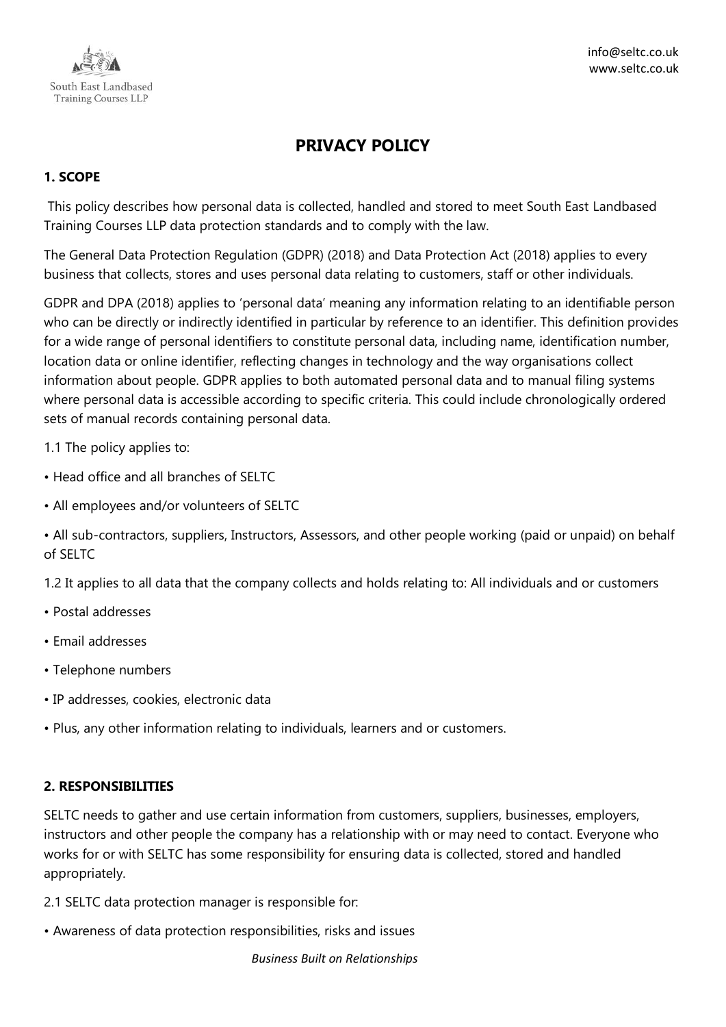

# **PRIVACY POLICY**

# **1. SCOPE**

This policy describes how personal data is collected, handled and stored to meet South East Landbased Training Courses LLP data protection standards and to comply with the law.

The General Data Protection Regulation (GDPR) (2018) and Data Protection Act (2018) applies to every business that collects, stores and uses personal data relating to customers, staff or other individuals.

GDPR and DPA (2018) applies to 'personal data' meaning any information relating to an identifiable person who can be directly or indirectly identified in particular by reference to an identifier. This definition provides for a wide range of personal identifiers to constitute personal data, including name, identification number, location data or online identifier, reflecting changes in technology and the way organisations collect information about people. GDPR applies to both automated personal data and to manual filing systems where personal data is accessible according to specific criteria. This could include chronologically ordered sets of manual records containing personal data.

1.1 The policy applies to:

- Head office and all branches of SELTC
- All employees and/or volunteers of SELTC
- All sub-contractors, suppliers, Instructors, Assessors, and other people working (paid or unpaid) on behalf of SELTC

1.2 It applies to all data that the company collects and holds relating to: All individuals and or customers

- Postal addresses
- Email addresses
- Telephone numbers
- IP addresses, cookies, electronic data
- Plus, any other information relating to individuals, learners and or customers.

## **2. RESPONSIBILITIES**

SELTC needs to gather and use certain information from customers, suppliers, businesses, employers, instructors and other people the company has a relationship with or may need to contact. Everyone who works for or with SELTC has some responsibility for ensuring data is collected, stored and handled appropriately.

- 2.1 SELTC data protection manager is responsible for:
- Awareness of data protection responsibilities, risks and issues

*Business Built on Relationships*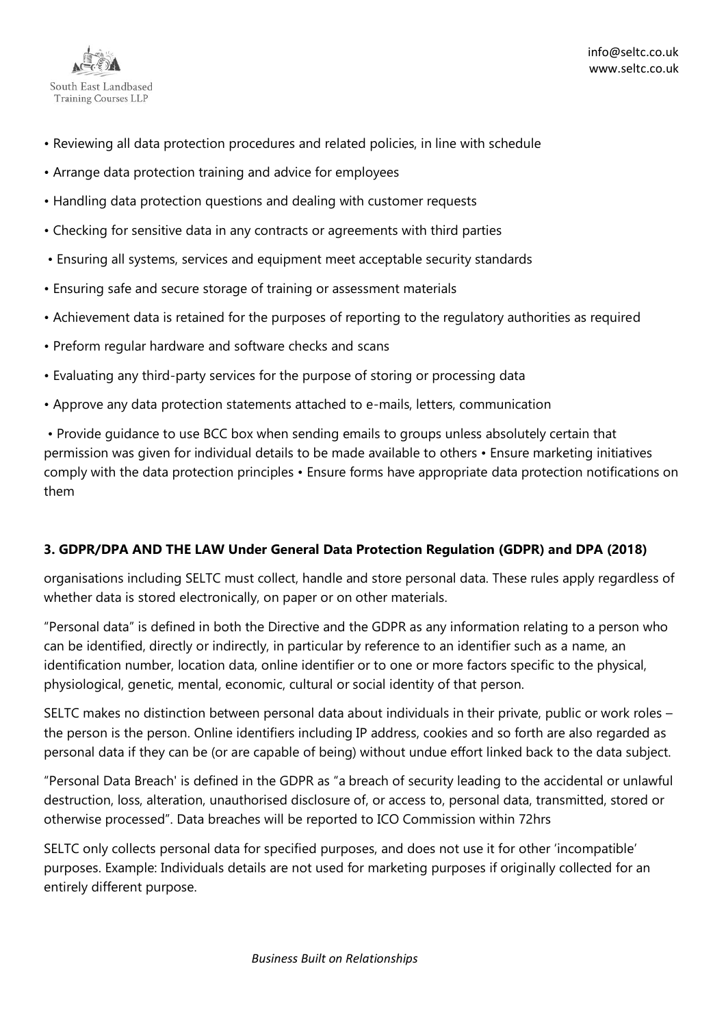

- Reviewing all data protection procedures and related policies, in line with schedule
- Arrange data protection training and advice for employees
- Handling data protection questions and dealing with customer requests
- Checking for sensitive data in any contracts or agreements with third parties
- Ensuring all systems, services and equipment meet acceptable security standards
- Ensuring safe and secure storage of training or assessment materials
- Achievement data is retained for the purposes of reporting to the regulatory authorities as required
- Preform regular hardware and software checks and scans
- Evaluating any third-party services for the purpose of storing or processing data
- Approve any data protection statements attached to e-mails, letters, communication

• Provide guidance to use BCC box when sending emails to groups unless absolutely certain that permission was given for individual details to be made available to others • Ensure marketing initiatives comply with the data protection principles • Ensure forms have appropriate data protection notifications on them

## **3. GDPR/DPA AND THE LAW Under General Data Protection Regulation (GDPR) and DPA (2018)**

organisations including SELTC must collect, handle and store personal data. These rules apply regardless of whether data is stored electronically, on paper or on other materials.

"Personal data" is defined in both the Directive and the GDPR as any information relating to a person who can be identified, directly or indirectly, in particular by reference to an identifier such as a name, an identification number, location data, online identifier or to one or more factors specific to the physical, physiological, genetic, mental, economic, cultural or social identity of that person.

SELTC makes no distinction between personal data about individuals in their private, public or work roles – the person is the person. Online identifiers including IP address, cookies and so forth are also regarded as personal data if they can be (or are capable of being) without undue effort linked back to the data subject.

"Personal Data Breach' is defined in the GDPR as "a breach of security leading to the accidental or unlawful destruction, loss, alteration, unauthorised disclosure of, or access to, personal data, transmitted, stored or otherwise processed". Data breaches will be reported to ICO Commission within 72hrs

SELTC only collects personal data for specified purposes, and does not use it for other 'incompatible' purposes. Example: Individuals details are not used for marketing purposes if originally collected for an entirely different purpose.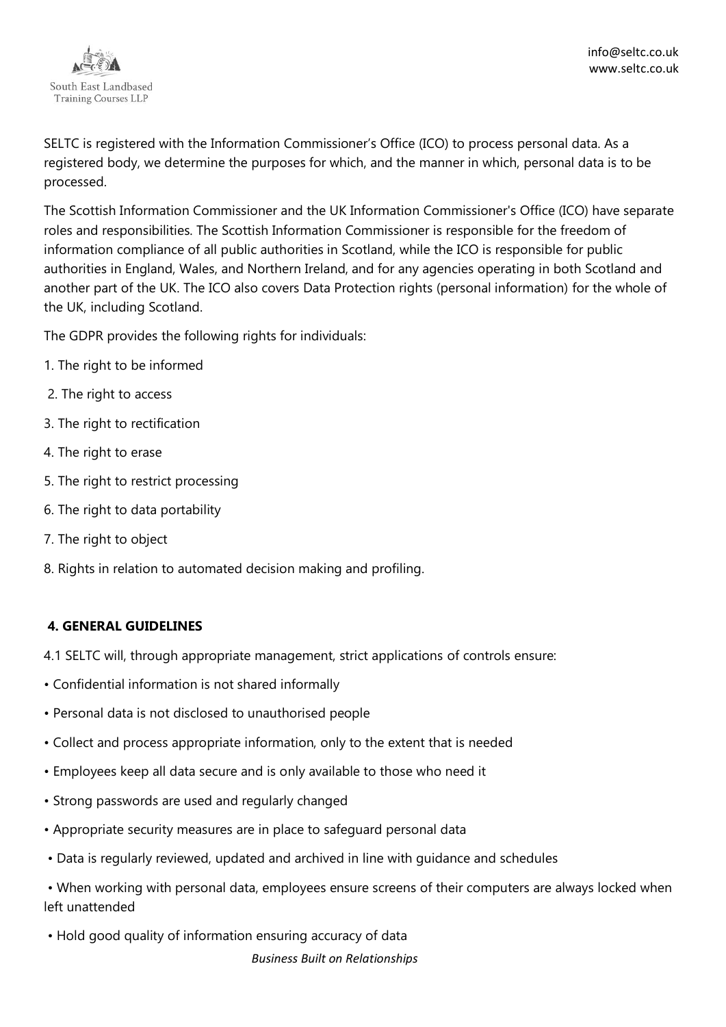

SELTC is registered with the Information Commissioner's Office (ICO) to process personal data. As a registered body, we determine the purposes for which, and the manner in which, personal data is to be processed.

The Scottish Information Commissioner and the UK Information Commissioner's Office (ICO) have separate roles and responsibilities. The Scottish Information Commissioner is responsible for the freedom of information compliance of all public authorities in Scotland, while the ICO is responsible for public authorities in England, Wales, and Northern Ireland, and for any agencies operating in both Scotland and another part of the UK. The ICO also covers Data Protection rights (personal information) for the whole of the UK, including Scotland.

The GDPR provides the following rights for individuals:

- 1. The right to be informed
- 2. The right to access
- 3. The right to rectification
- 4. The right to erase
- 5. The right to restrict processing
- 6. The right to data portability
- 7. The right to object
- 8. Rights in relation to automated decision making and profiling.

## **4. GENERAL GUIDELINES**

- 4.1 SELTC will, through appropriate management, strict applications of controls ensure:
- Confidential information is not shared informally
- Personal data is not disclosed to unauthorised people
- Collect and process appropriate information, only to the extent that is needed
- Employees keep all data secure and is only available to those who need it
- Strong passwords are used and regularly changed
- Appropriate security measures are in place to safeguard personal data
- Data is regularly reviewed, updated and archived in line with guidance and schedules

• When working with personal data, employees ensure screens of their computers are always locked when left unattended

*Business Built on Relationships* • Hold good quality of information ensuring accuracy of data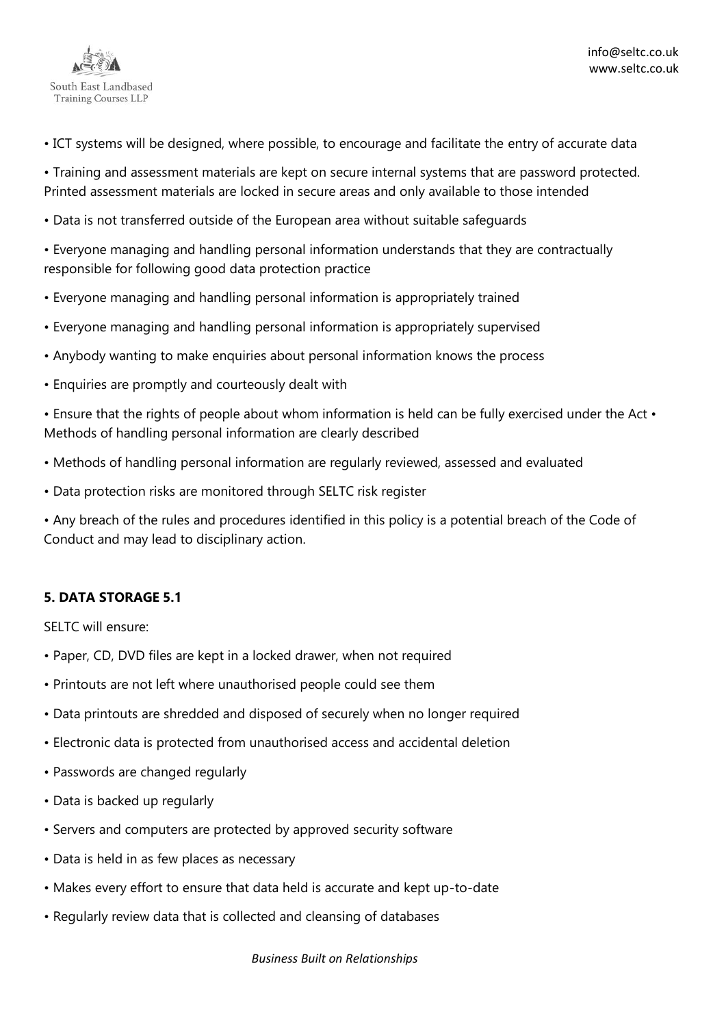

• ICT systems will be designed, where possible, to encourage and facilitate the entry of accurate data

• Training and assessment materials are kept on secure internal systems that are password protected. Printed assessment materials are locked in secure areas and only available to those intended

• Data is not transferred outside of the European area without suitable safeguards

• Everyone managing and handling personal information understands that they are contractually responsible for following good data protection practice

- Everyone managing and handling personal information is appropriately trained
- Everyone managing and handling personal information is appropriately supervised
- Anybody wanting to make enquiries about personal information knows the process
- Enquiries are promptly and courteously dealt with

• Ensure that the rights of people about whom information is held can be fully exercised under the Act • Methods of handling personal information are clearly described

- Methods of handling personal information are regularly reviewed, assessed and evaluated
- Data protection risks are monitored through SELTC risk register

• Any breach of the rules and procedures identified in this policy is a potential breach of the Code of Conduct and may lead to disciplinary action.

# **5. DATA STORAGE 5.1**

SELTC will ensure:

- Paper, CD, DVD files are kept in a locked drawer, when not required
- Printouts are not left where unauthorised people could see them
- Data printouts are shredded and disposed of securely when no longer required
- Electronic data is protected from unauthorised access and accidental deletion
- Passwords are changed regularly
- Data is backed up regularly
- Servers and computers are protected by approved security software
- Data is held in as few places as necessary
- Makes every effort to ensure that data held is accurate and kept up-to-date
- Regularly review data that is collected and cleansing of databases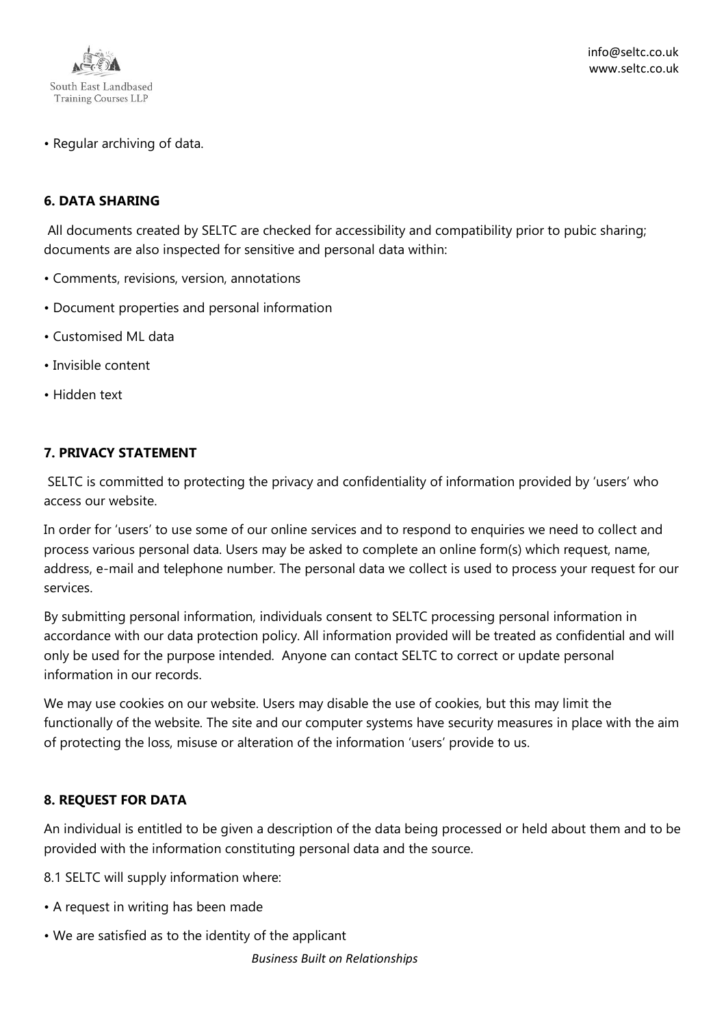

• Regular archiving of data.

### **6. DATA SHARING**

All documents created by SELTC are checked for accessibility and compatibility prior to pubic sharing; documents are also inspected for sensitive and personal data within:

- Comments, revisions, version, annotations
- Document properties and personal information
- Customised ML data
- Invisible content
- Hidden text

#### **7. PRIVACY STATEMENT**

SELTC is committed to protecting the privacy and confidentiality of information provided by 'users' who access our website.

In order for 'users' to use some of our online services and to respond to enquiries we need to collect and process various personal data. Users may be asked to complete an online form(s) which request, name, address, e-mail and telephone number. The personal data we collect is used to process your request for our services.

By submitting personal information, individuals consent to SELTC processing personal information in accordance with our data protection policy. All information provided will be treated as confidential and will only be used for the purpose intended. Anyone can contact SELTC to correct or update personal information in our records.

We may use cookies on our website. Users may disable the use of cookies, but this may limit the functionally of the website. The site and our computer systems have security measures in place with the aim of protecting the loss, misuse or alteration of the information 'users' provide to us.

#### **8. REQUEST FOR DATA**

An individual is entitled to be given a description of the data being processed or held about them and to be provided with the information constituting personal data and the source.

- 8.1 SELTC will supply information where:
- A request in writing has been made
- We are satisfied as to the identity of the applicant

*Business Built on Relationships*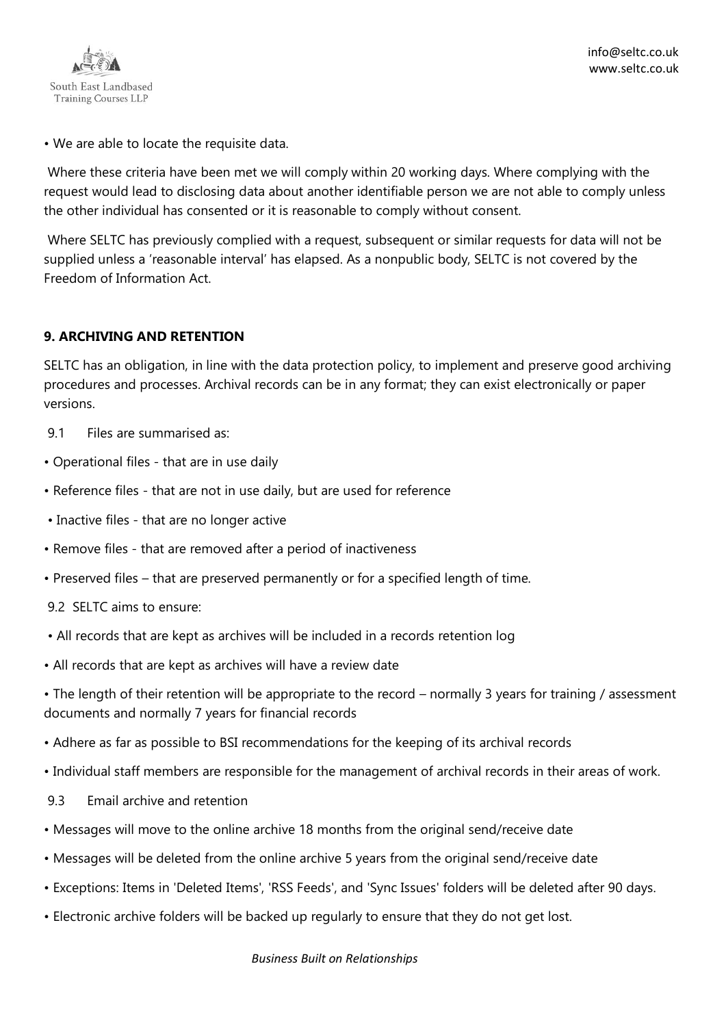

• We are able to locate the requisite data.

Where these criteria have been met we will comply within 20 working days. Where complying with the request would lead to disclosing data about another identifiable person we are not able to comply unless the other individual has consented or it is reasonable to comply without consent.

Where SELTC has previously complied with a request, subsequent or similar requests for data will not be supplied unless a 'reasonable interval' has elapsed. As a nonpublic body, SELTC is not covered by the Freedom of Information Act.

## **9. ARCHIVING AND RETENTION**

SELTC has an obligation, in line with the data protection policy, to implement and preserve good archiving procedures and processes. Archival records can be in any format; they can exist electronically or paper versions.

- 9.1 Files are summarised as:
- Operational files that are in use daily
- Reference files that are not in use daily, but are used for reference
- Inactive files that are no longer active
- Remove files that are removed after a period of inactiveness
- Preserved files that are preserved permanently or for a specified length of time.
- 9.2 SELTC aims to ensure:
- All records that are kept as archives will be included in a records retention log
- All records that are kept as archives will have a review date
- The length of their retention will be appropriate to the record normally 3 years for training / assessment documents and normally 7 years for financial records
- Adhere as far as possible to BSI recommendations for the keeping of its archival records
- Individual staff members are responsible for the management of archival records in their areas of work.
- 9.3 Email archive and retention
- Messages will move to the online archive 18 months from the original send/receive date
- Messages will be deleted from the online archive 5 years from the original send/receive date
- Exceptions: Items in 'Deleted Items', 'RSS Feeds', and 'Sync Issues' folders will be deleted after 90 days.
- Electronic archive folders will be backed up regularly to ensure that they do not get lost.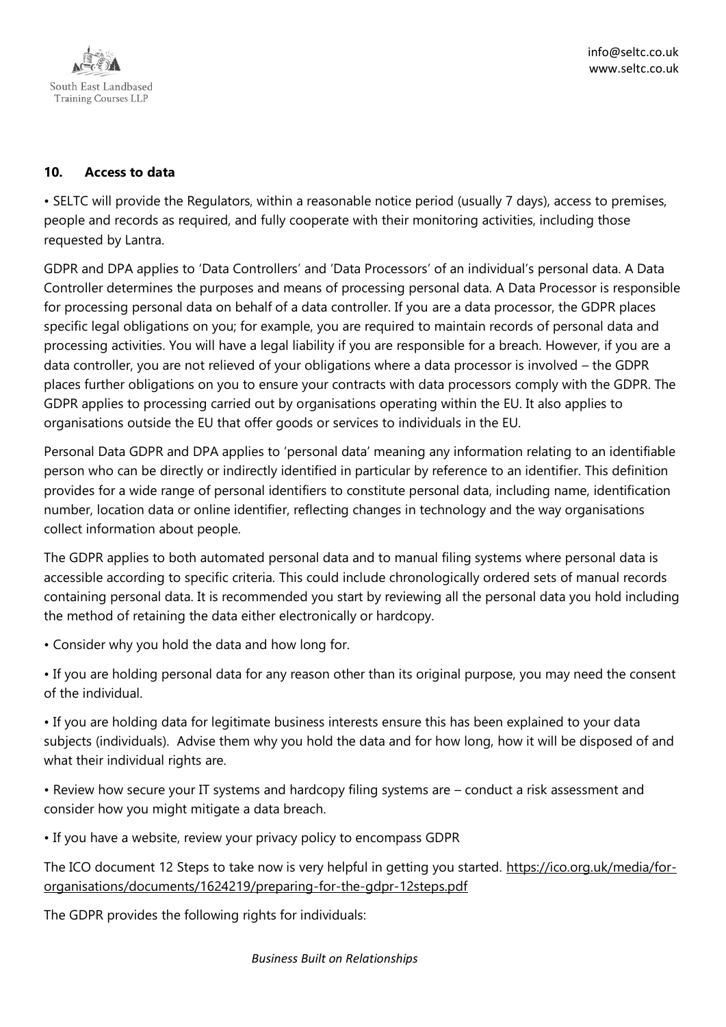

## **10. Access to data**

• SELTC will provide the Regulators, within a reasonable notice period (usually 7 days), access to premises, people and records as required, and fully cooperate with their monitoring activities, including those requested by Lantra.

GDPR and DPA applies to 'Data Controllers' and 'Data Processors' of an individual's personal data. A Data Controller determines the purposes and means of processing personal data. A Data Processor is responsible for processing personal data on behalf of a data controller. If you are a data processor, the GDPR places specific legal obligations on you; for example, you are required to maintain records of personal data and processing activities. You will have a legal liability if you are responsible for a breach. However, if you are a data controller, you are not relieved of your obligations where a data processor is involved – the GDPR places further obligations on you to ensure your contracts with data processors comply with the GDPR. The GDPR applies to processing carried out by organisations operating within the EU. It also applies to organisations outside the EU that offer goods or services to individuals in the EU.

Personal Data GDPR and DPA applies to 'personal data' meaning any information relating to an identifiable person who can be directly or indirectly identified in particular by reference to an identifier. This definition provides for a wide range of personal identifiers to constitute personal data, including name, identification number, location data or online identifier, reflecting changes in technology and the way organisations collect information about people.

The GDPR applies to both automated personal data and to manual filing systems where personal data is accessible according to specific criteria. This could include chronologically ordered sets of manual records containing personal data. It is recommended you start by reviewing all the personal data you hold including the method of retaining the data either electronically or hardcopy.

• Consider why you hold the data and how long for.

• If you are holding personal data for any reason other than its original purpose, you may need the consent of the individual.

• If you are holding data for legitimate business interests ensure this has been explained to your data subjects (individuals). Advise them why you hold the data and for how long, how it will be disposed of and what their individual rights are.

• Review how secure your IT systems and hardcopy filing systems are – conduct a risk assessment and consider how you might mitigate a data breach.

• If you have a website, review your privacy policy to encompass GDPR

The ICO document 12 Steps to take now is very helpful in getting you started. [https://ico.org.uk/media/for](https://ico.org.uk/media/for-organisations/documents/1624219/preparing-for-the-gdpr-12steps.pdf)[organisations/documents/1624219/preparing-for-the-gdpr-12steps.pdf](https://ico.org.uk/media/for-organisations/documents/1624219/preparing-for-the-gdpr-12steps.pdf)

The GDPR provides the following rights for individuals: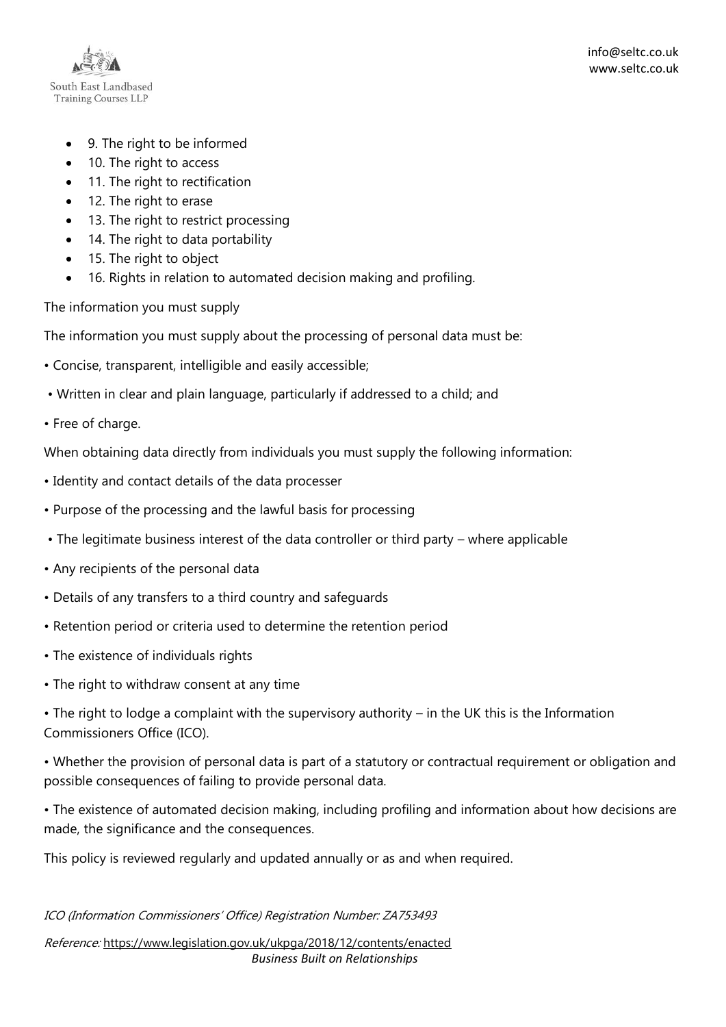

- 9. The right to be informed
- 10. The right to access
- 11. The right to rectification
- 12. The right to erase
- 13. The right to restrict processing
- 14. The right to data portability
- 15. The right to object
- 16. Rights in relation to automated decision making and profiling.

The information you must supply

The information you must supply about the processing of personal data must be:

- Concise, transparent, intelligible and easily accessible;
- Written in clear and plain language, particularly if addressed to a child; and
- Free of charge.

When obtaining data directly from individuals you must supply the following information:

- Identity and contact details of the data processer
- Purpose of the processing and the lawful basis for processing
- The legitimate business interest of the data controller or third party where applicable
- Any recipients of the personal data
- Details of any transfers to a third country and safeguards
- Retention period or criteria used to determine the retention period
- The existence of individuals rights
- The right to withdraw consent at any time

• The right to lodge a complaint with the supervisory authority – in the UK this is the Information Commissioners Office (ICO).

• Whether the provision of personal data is part of a statutory or contractual requirement or obligation and possible consequences of failing to provide personal data.

• The existence of automated decision making, including profiling and information about how decisions are made, the significance and the consequences.

This policy is reviewed regularly and updated annually or as and when required.

#### ICO (Information Commissioners' Office) Registration Number: ZA753493

*Business Built on Relationships* Reference: <https://www.legislation.gov.uk/ukpga/2018/12/contents/enacted>